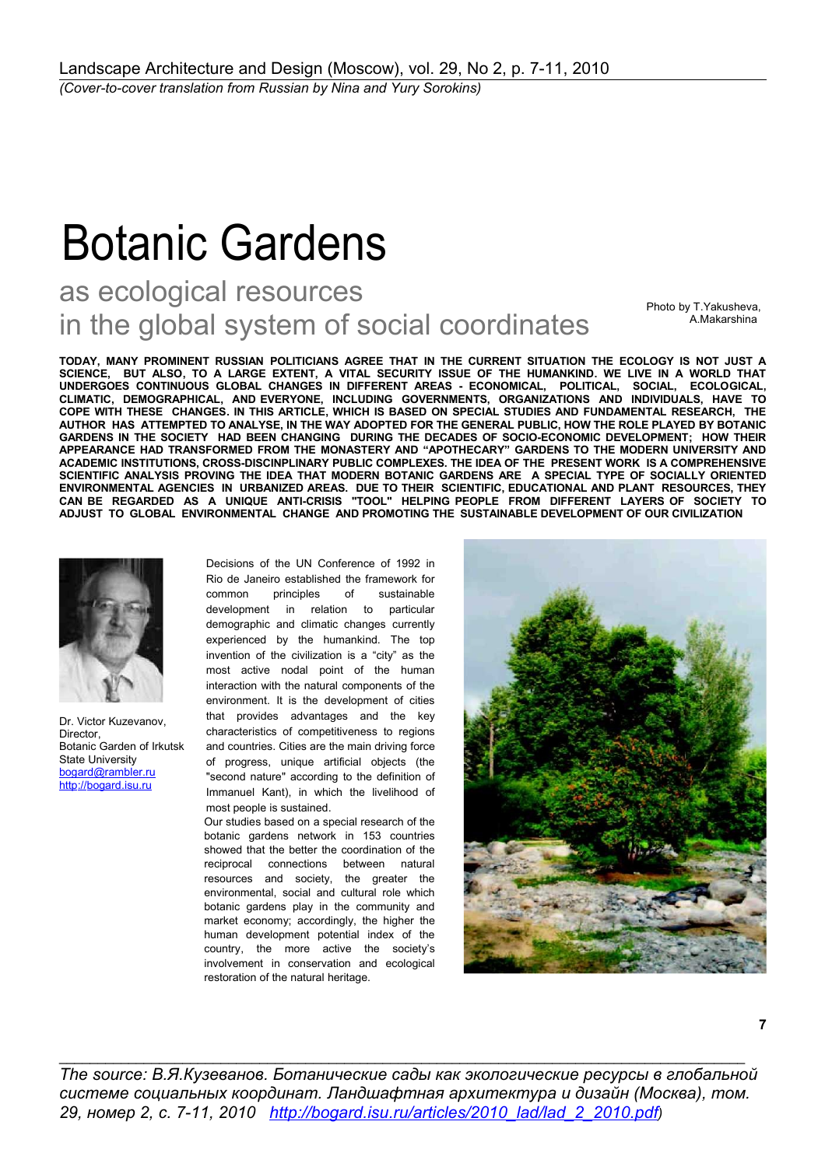## Botanic Gardens

## as ecological resources in the global system of social coordinates

Photo by T.Yakusheva, A.Makarshina

**TODAY, MANY PROMINENT RUSSIAN POLITICIANS AGREE THAT IN THE CURRENT SITUATION THE ECOLOGY IS NOT JUST A SCIENCE, BUT ALSO, TO A LARGE EXTENT, A VITAL SECURITY ISSUE OF THE HUMANKIND. WE LIVE IN A WORLD THAT UNDERGOES CONTINUOUS GLOBAL CHANGES IN DIFFERENT AREAS - ECONOMICAL, POLITICAL, SOCIAL, ECOLOGICAL, CLIMATIC, DEMOGRAPHICAL, AND EVERYONE, INCLUDING GOVERNMENTS, ORGANIZATIONS AND INDIVIDUALS, HAVE TO COPE WITH THESE CHANGES. IN THIS ARTICLE, WHICH IS BASED ON SPECIAL STUDIES AND FUNDAMENTAL RESEARCH, THE AUTHOR HAS ATTEMPTED TO ANALYSE, IN THE WAY ADOPTED FOR THE GENERAL PUBLIC, HOW THE ROLE PLAYED BY BOTANIC GARDENS IN THE SOCIETY HAD BEEN CHANGING DURING THE DECADES OF SOCIO-ECONOMIC DEVELOPMENT; HOW THEIR APPEARANCE HAD TRANSFORMED FROM THE MONASTERY AND "APOTHECARY" GARDENS TO THE MODERN UNIVERSITY AND ACADEMIC INSTITUTIONS, CROSS-DISCINPLINARY PUBLIC COMPLEXES. THE IDEA OF THE PRESENT WORK IS A COMPREHENSIVE SCIENTIFIC ANALYSIS PROVING THE IDEA THAT MODERN BOTANIC GARDENS ARE A SPECIAL TYPE OF SOCIALLY ORIENTED ENVIRONMENTAL AGENCIES IN URBANIZED AREAS. DUE TO THEIR SCIENTIFIC, EDUCATIONAL AND PLANT RESOURCES, THEY CAN BE REGARDED AS A UNIQUE ANTI-CRISIS "TOOL" HELPING PEOPLE FROM DIFFERENT LAYERS OF SOCIETY TO ADJUST TO GLOBAL ENVIRONMENTAL CHANGE AND PROMOTING THE SUSTAINABLE DEVELOPMENT OF OUR CIVILIZATION**



Dr. Victor Kuzevanov, Director, Botanic Garden of Irkutsk State University [bogard@rambler.ru](mailto:bogard@rambler.ru) http://bogard.isu.ru

Decisions of the UN Conference of 1992 in Rio de Janeiro established the framework for common principles of sustainable development in relation to particular demographic and climatic changes currently experienced by the humankind. The top invention of the civilization is a "city" as the most active nodal point of the human interaction with the natural components of the environment. It is the development of cities that provides advantages and the key characteristics of competitiveness to regions and countries. Cities are the main driving force of progress, unique artificial objects (the "second nature" according to the definition of Immanuel Kant), in which the livelihood of most people is sustained.

Our studies based on a special research of the botanic gardens network in 153 countries showed that the better the coordination of the reciprocal connections between natural resources and society, the greater the environmental, social and cultural role which botanic gardens play in the community and market economy; accordingly, the higher the human development potential index of the country, the more active the society's involvement in conservation and ecological restoration of the natural heritage.



*The source: В.Я.Кузеванов. Ботанические сады как экологические ресурсы в глобальной системе социальных координат. Ландшафтная архитектура и дизайн (Москва), том. 29, номер 2, с. 7-11, 2010 [http :// bogard. isu. ru/ articles /2010\\_ lad/ lad \\_2\\_2010. pdf](http://bogard.isu.ru/articles/2010_lad/lad_2_2010.pdf))*

 $\_$  , and the set of the set of the set of the set of the set of the set of the set of the set of the set of the set of the set of the set of the set of the set of the set of the set of the set of the set of the set of th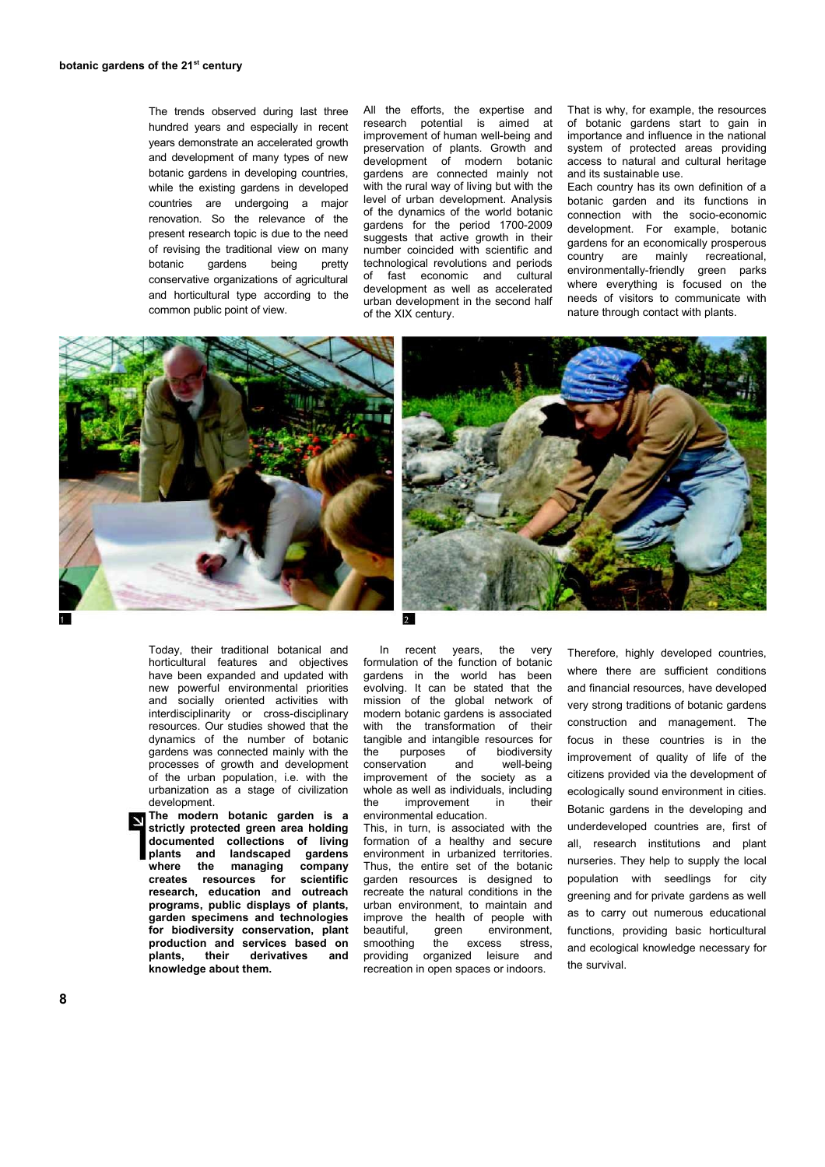The trends observed during last three hundred years and especially in recent years demonstrate an accelerated growth and development of many types of new botanic gardens in developing countries, while the existing gardens in developed countries are undergoing a major renovation. So the relevance of the present research topic is due to the need of revising the traditional view on many botanic gardens being pretty conservative organizations of agricultural and horticultural type according to the common public point of view.

All the efforts, the expertise and research potential is aimed at improvement of human well-being and preservation of plants. Growth and development of modern botanic gardens are connected mainly not with the rural way of living but with the level of urban development. Analysis of the dynamics of the world botanic gardens for the period 1700-2009 suggests that active growth in their number coincided with scientific and technological revolutions and periods of fast economic and cultural development as well as accelerated urban development in the second half of the XIX century.

That is why, for example, the resources of botanic gardens start to gain in importance and influence in the national system of protected areas providing access to natural and cultural heritage and its sustainable use.

Each country has its own definition of a botanic garden and its functions in connection with the socio-economic development. For example, botanic gardens for an economically prosperous country are mainly recreational, environmentally-friendly green parks where everything is focused on the needs of visitors to communicate with nature through contact with plants.





Today, their traditional botanical and horticultural features and objectives have been expanded and updated with new powerful environmental priorities and socially oriented activities with interdisciplinarity or cross-disciplinary resources. Our studies showed that the dynamics of the number of botanic gardens was connected mainly with the processes of growth and development of the urban population, i.e. with the urbanization as a stage of civilization development.

**The modern botanic garden is a strictly protected green area holding documented collections of living plants and landscaped gardens where the managing company creates resources for scientific research, education and outreach programs, public displays of plants, garden specimens and technologies for biodiversity conservation, plant production and services based on plants, their derivatives and knowledge about them.**

In recent years, the very formulation of the function of botanic gardens in the world has been evolving. It can be stated that the mission of the global network of modern botanic gardens is associated with the transformation of their tangible and intangible resources for<br>the purposes of biodiversity purposes of biodiversity<br>prvation and well-being conservation and improvement of the society as a whole as well as individuals, including the improvement in their environmental education.

This, in turn, is associated with the formation of a healthy and secure environment in urbanized territories. Thus, the entire set of the botanic garden resources is designed to recreate the natural conditions in the urban environment, to maintain and improve the health of people with<br>beautiful, qreen environment, green environment, smoothing the excess stress, providing organized leisure and recreation in open spaces or indoors.

Therefore, highly developed countries, where there are sufficient conditions and financial resources, have developed very strong traditions of botanic gardens construction and management. The focus in these countries is in the improvement of quality of life of the citizens provided via the development of ecologically sound environment in cities. Botanic gardens in the developing and underdeveloped countries are, first of all, research institutions and plant nurseries. They help to supply the local population with seedlings for city greening and for private gardens as well as to carry out numerous educational functions, providing basic horticultural and ecological knowledge necessary for the survival.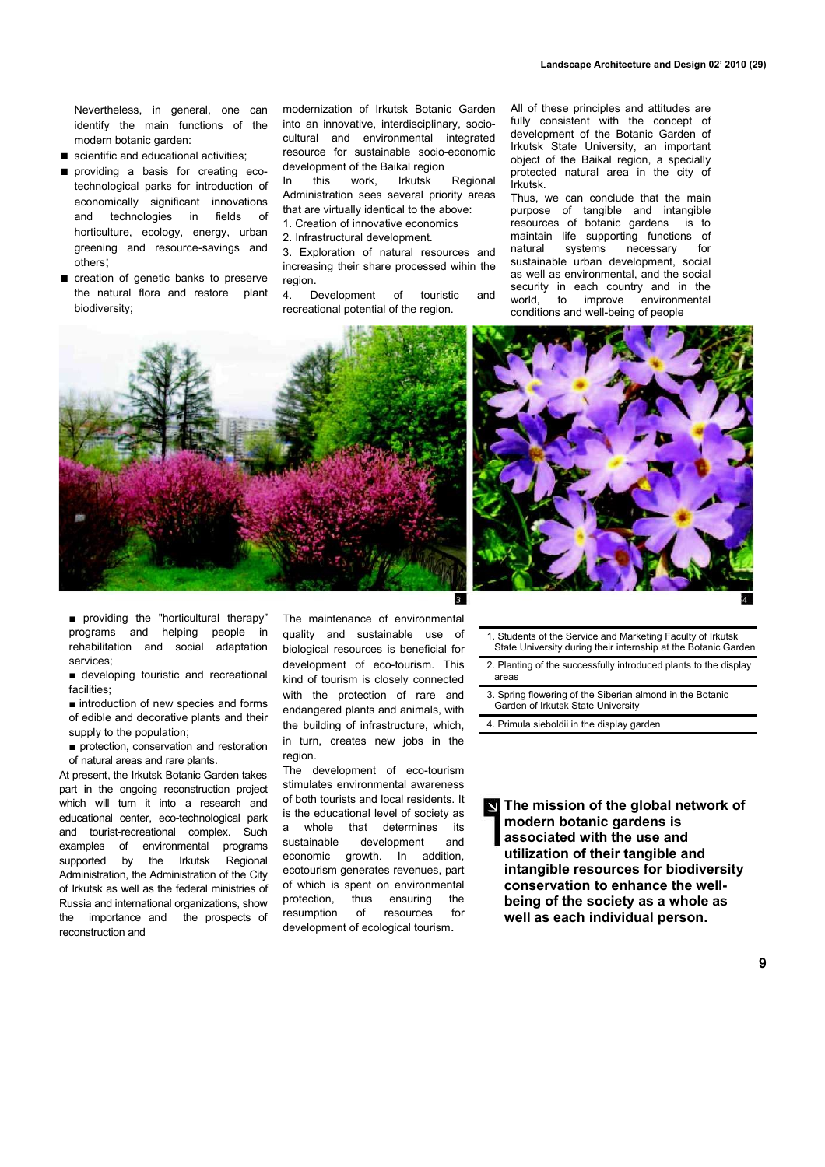Nevertheless, in general, one can identify the main functions of the modern botanic garden:

- scientific and educational activities;
- providing a basis for creating ecotechnological parks for introduction of economically significant innovations and technologies in fields of horticulture, ecology, energy, urban greening and resource-savings and others;
- creation of genetic banks to preserve the natural flora and restore plant biodiversity;

modernization of Irkutsk Botanic Garden into an innovative, interdisciplinary, sociocultural and environmental integrated resource for sustainable socio-economic development of the Baikal region

In this work, Irkutsk Regional Administration sees several priority areas that are virtually identical to the above:

- 1. Creation of innovative economics
- 2. Infrastructural development.

3. Exploration of natural resources and increasing their share processed wihin the region.

4. Development of touristic and recreational potential of the region.

All of these principles and attitudes are fully consistent with the concept of development of the Botanic Garden of Irkutsk State University, an important object of the Baikal region, a specially protected natural area in the city of Irkutsk.

Thus, we can conclude that the main purpose of tangible and intangible resources of botanic gardens is to maintain life supporting functions of natural systems necessary for sustainable urban development, social as well as environmental, and the social security in each country and in the world, to improve environmental conditions and well-being of people





■ providing the "horticultural therapy" programs and helping people in rehabilitation and social adaptation services;

■ developing touristic and recreational facilities;

■ introduction of new species and forms of edible and decorative plants and their supply to the population;

■ protection, conservation and restoration of natural areas and rare plants.

At present, the Irkutsk Botanic Garden takes part in the ongoing reconstruction project which will turn it into a research and educational center, eco-technological park and tourist-recreational complex. Such examples of environmental programs supported by the Irkutsk Regional Administration, the Administration of the City of Irkutsk as well as the federal ministries of Russia and international organizations, show the importance and the prospects of reconstruction and

The maintenance of environmental quality and sustainable use of biological resources is beneficial for development of eco-tourism. This kind of tourism is closely connected with the protection of rare and endangered plants and animals, with the building of infrastructure, which, in turn, creates new jobs in the region

The development of eco-tourism stimulates environmental awareness of both tourists and local residents. It is the educational level of society as a whole that determines its sustainable development and economic growth. In addition, ecotourism generates revenues, part of which is spent on environmental protection, thus ensuring the resumption of resources for development of ecological tourism.

1. Students of the Service and Marketing Faculty of Irkutsk State University during their internship at the Botanic Garden

2. Planting of the successfully introduced plants to the display areas

- 3. Spring flowering of the Siberian almond in the Botanic Garden of Irkutsk State University
- 4. Primula sieboldii in the display garden

**The mission of the global network of**  $\overline{\phantom{a}}$ **modern botanic gardens is associated with the use and utilization of their tangible and intangible resources for biodiversity conservation to enhance the wellbeing of the society as a whole as well as each individual person.**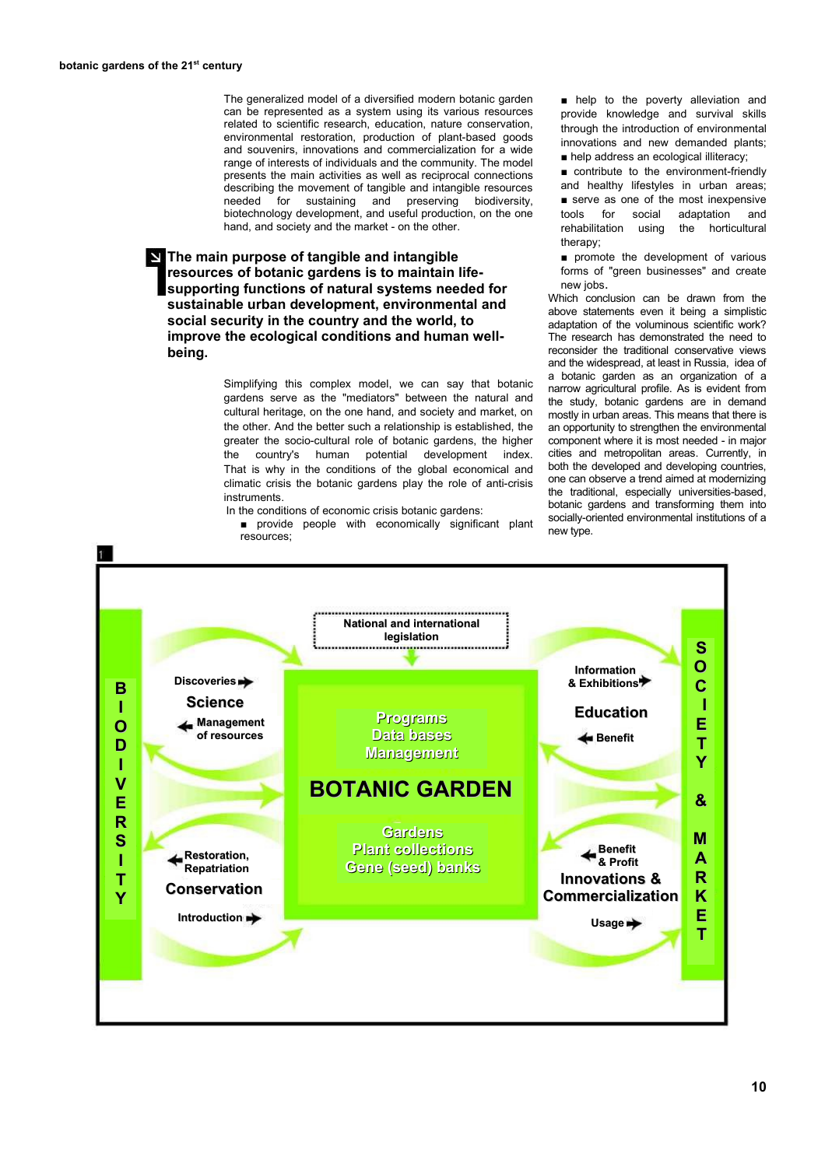The generalized model of a diversified modern botanic garden can be represented as a system using its various resources related to scientific research, education, nature conservation, environmental restoration, production of plant-based goods and souvenirs, innovations and commercialization for a wide range of interests of individuals and the community. The model presents the main activities as well as reciprocal connections describing the movement of tangible and intangible resources needed for sustaining and preserving biodiversity, biotechnology development, and useful production, on the one hand, and society and the market - on the other.

**The main purpose of tangible and intangible resources of botanic gardens is to maintain lifesupporting functions of natural systems needed for sustainable urban development, environmental and social security in the country and the world, to improve the ecological conditions and human wellbeing.**

> Simplifying this complex model, we can say that botanic gardens serve as the "mediators" between the natural and cultural heritage, on the one hand, and society and market, on the other. And the better such a relationship is established, the greater the socio-cultural role of botanic gardens, the higher the country's human potential development index. That is why in the conditions of the global economical and climatic crisis the botanic gardens play the role of anti-crisis instruments.

In the conditions of economic crisis botanic gardens:

■ provide people with economically significant plant resources;

■ help to the poverty alleviation and provide knowledge and survival skills through the introduction of environmental innovations and new demanded plants; ■ help address an ecological illiteracy;

■ contribute to the environment-friendly and healthy lifestyles in urban areas; ■ serve as one of the most inexpensive tools for social adaptation and rehabilitation using the horticultural therany:

■ promote the development of various forms of "green businesses" and create new jobs.

Which conclusion can be drawn from the above statements even it being a simplistic adaptation of the voluminous scientific work? The research has demonstrated the need to reconsider the traditional conservative views and the widespread, at least in Russia, idea of a botanic garden as an organization of a narrow agricultural profile. As is evident from the study, botanic gardens are in demand mostly in urban areas. This means that there is an opportunity to strengthen the environmental component where it is most needed - in major cities and metropolitan areas. Currently, in both the developed and developing countries, one can observe a trend aimed at modernizing the traditional, especially universities-based, botanic gardens and transforming them into socially-oriented environmental institutions of a new type.

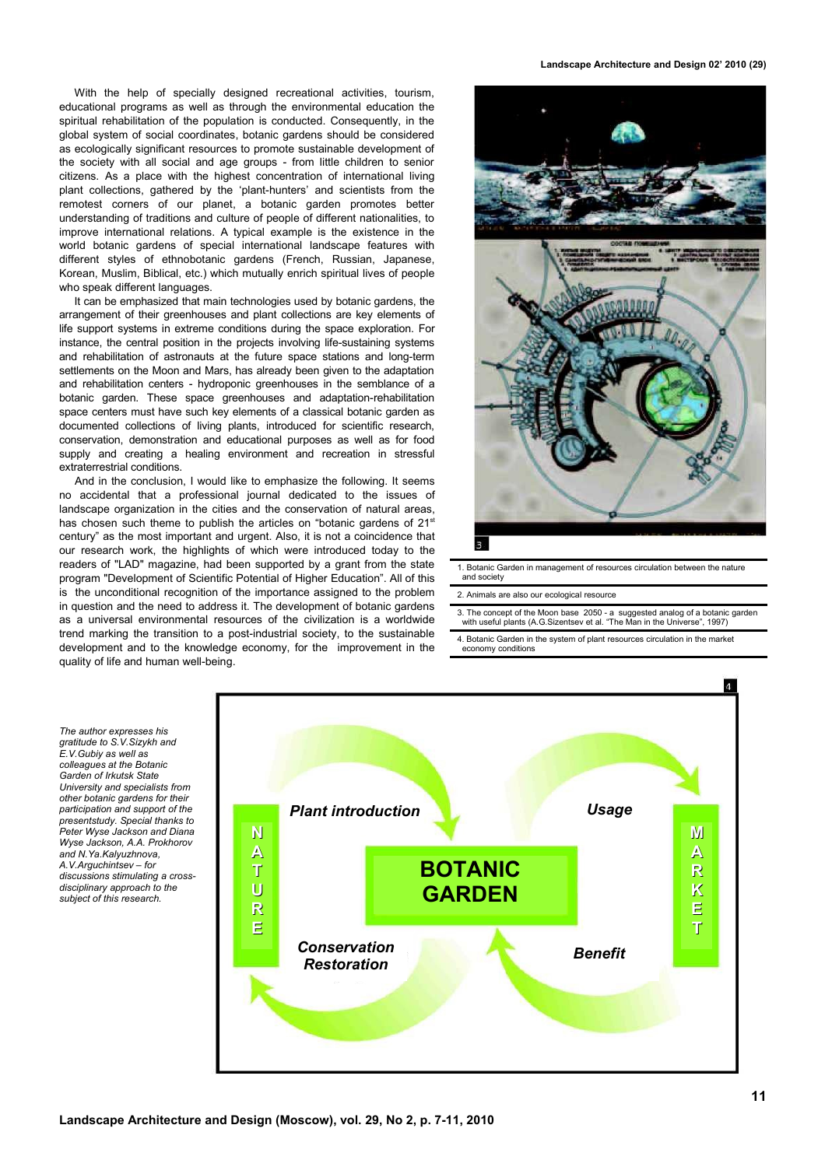With the help of specially designed recreational activities, tourism, educational programs as well as through the environmental education the spiritual rehabilitation of the population is conducted. Consequently, in the global system of social coordinates, botanic gardens should be considered as ecologically significant resources to promote sustainable development of the society with all social and age groups - from little children to senior citizens. As a place with the highest concentration of international living plant collections, gathered by the 'plant-hunters' and scientists from the remotest corners of our planet, a botanic garden promotes better understanding of traditions and culture of people of different nationalities, to improve international relations. A typical example is the existence in the world botanic gardens of special international landscape features with different styles of ethnobotanic gardens (French, Russian, Japanese, Korean, Muslim, Biblical, etc.) which mutually enrich spiritual lives of people who speak different languages.

It can be emphasized that main technologies used by botanic gardens, the arrangement of their greenhouses and plant collections are key elements of life support systems in extreme conditions during the space exploration. For instance, the central position in the projects involving life-sustaining systems and rehabilitation of astronauts at the future space stations and long-term settlements on the Moon and Mars, has already been given to the adaptation and rehabilitation centers - hydroponic greenhouses in the semblance of a botanic garden. These space greenhouses and adaptation-rehabilitation space centers must have such key elements of a classical botanic garden as documented collections of living plants, introduced for scientific research, conservation, demonstration and educational purposes as well as for food supply and creating a healing environment and recreation in stressful extraterrestrial conditions.

And in the conclusion, I would like to emphasize the following. It seems no accidental that a professional journal dedicated to the issues of landscape organization in the cities and the conservation of natural areas, has chosen such theme to publish the articles on "botanic gardens of 21<sup>st</sup> century" as the most important and urgent. Also, it is not a coincidence that our research work, the highlights of which were introduced today to the readers of "LAD" magazine, had been supported by a grant from the state program "Development of Scientific Potential of Higher Education". All of this is the unconditional recognition of the importance assigned to the problem in question and the need to address it. The development of botanic gardens as a universal environmental resources of the civilization is a worldwide trend marking the transition to a post-industrial society, to the sustainable development and to the knowledge economy, for the improvement in the quality of life and human well-being.

**Landscape Architecture and Design 02' 2010 (29)**



1. Botanic Garden in management of resources circulation between the nature and society

## 2. Animals are also our ecological resource

3. The concept of the Moon base 2050 - a suggested analog of a botanic garden with useful plants (A.G.Sizentsev et al. "The Man in the Universe", 1997)

4. Botanic Garden in the system of plant resources circulation in the market economy conditions

*The author expresses his gratitude to S.V.Sizykh and E.V.Gubiy as well as colleagues at the Botanic Garden of Irkutsk State University and specialists from other botanic gardens for their participation and support of the presentstudy. Special thanks to Peter Wyse Jackson and Diana Wyse Jackson, А.А. Prokhorov and N.Ya.Kalyuzhnova, A.V.Arguchintsev – for discussions stimulating a crossdisciplinary approach to the subject of this research.*

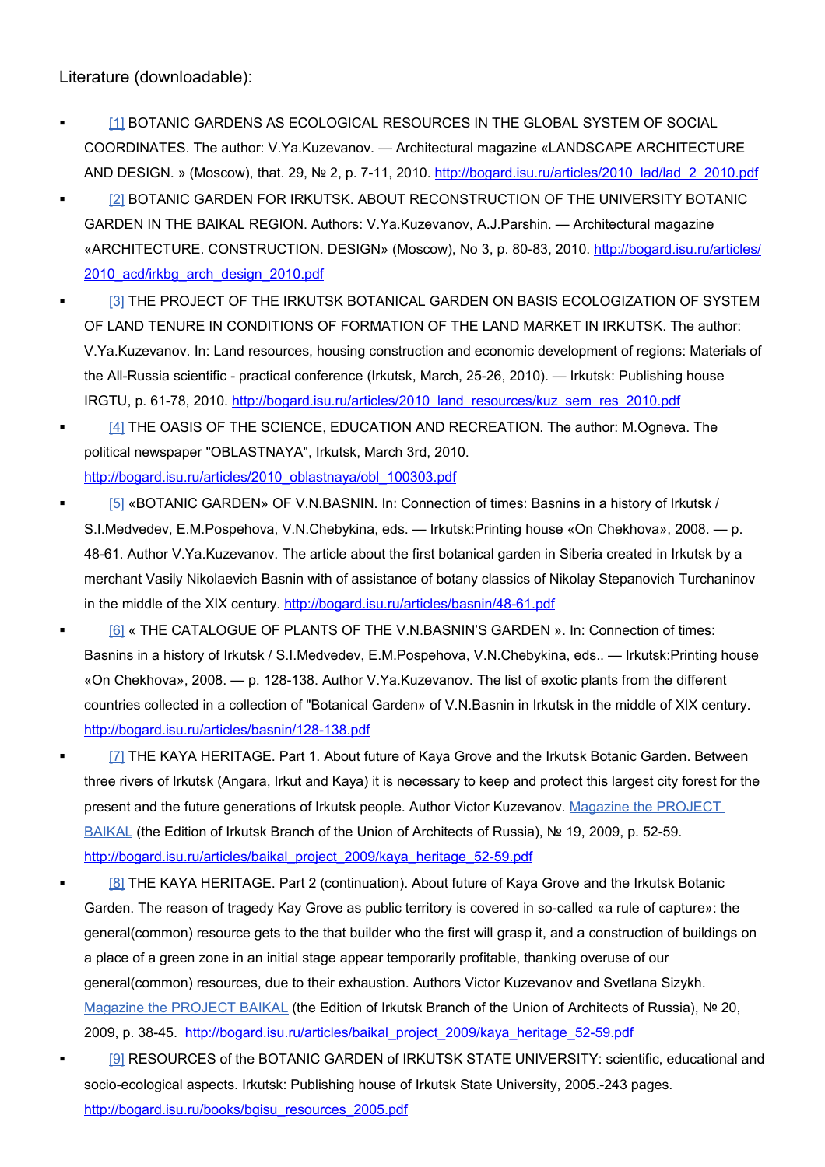Literature (downloadable):

- [1] BOTANIC GARDENS AS ECOLOGICAL RESOURCES IN THE GLOBAL SYSTEM OF SOCIAL COORDINATES. The author: V.Ya.Kuzevanov. — Architectural magazine «LANDSCAPE ARCHITECTURE AND DESIGN. » (Moscow), that. 29, № 2, p. 7-11, 2010. [http://bogard.isu.ru/articles/2010\\_lad/lad\\_2\\_2010.pdf](http://bogard.isu.ru/articles/2010_lad/lad_2_2010.pdf)
- **EXECTS IN BOTANIC GARDEN FOR IRKUTSK. ABOUT RECONSTRUCTION OF THE UNIVERSITY BOTANIC** GARDEN IN THE BAIKAL REGION. Authors: V.Ya.Kuzevanov, A.J.Parshin. — Architectural magazine «ARCHITECTURE. CONSTRUCTION. DESIGN» (Moscow), No 3, p. 80-83, 2010. [http://bogard.isu.ru/articles/](http://bogard.isu.ru/articles/2010_acd/irkbg_arch_design_2010.pdf) [2010\\_acd/irkbg\\_arch\\_design\\_2010.pdf](http://bogard.isu.ru/articles/2010_acd/irkbg_arch_design_2010.pdf)
- **THE PROJECT OF THE IRKUTSK BOTANICAL GARDEN ON BASIS ECOLOGIZATION OF SYSTEM** OF LAND TENURE IN CONDITIONS OF FORMATION OF THE LAND MARKET IN IRKUTSK. The author: V.Ya.Kuzevanov. In: Land resources, housing construction and economic development of regions: Materials of the All-Russia scientific - practical conference (Irkutsk, March, 25-26, 2010). — Irkutsk: Publishing house IRGTU, p. 61-78, 2010. http://bogard.isu.ru/articles/2010 land\_resources/kuz\_sem\_res\_2010.pdf
- **EXECTED** THE OASIS OF THE SCIENCE, EDUCATION AND RECREATION. The author: M.Ogneva. The political newspaper "OBLASTNAYA", Irkutsk, March 3rd, 2010. [http://bogard.isu.ru/articles/2010\\_oblastnaya/obl\\_100303.pdf](http://bogard.isu.ru/articles/2010_oblastnaya/obl_100303.pdf)
- [5] «BOTANIC GARDEN» OF V.N.BASNIN. In: Connection of times: Basnins in a history of Irkutsk / S.I.Medvedev, E.M.Pospehova, V.N.Chebykina, eds. — Irkutsk:Printing house «On Chekhova», 2008. — p. 48-61. Author V.Ya.Kuzevanov. The article about the first botanical garden in Siberia created in Irkutsk by a merchant Vasily Nikolaevich Basnin with of assistance of botany classics of Nikolay Stepanovich Turchaninov in the middle of the XIX century.<http://bogard.isu.ru/articles/basnin/48-61.pdf>
	- [\[6\]](http://bogard.isu.ru/articles/basnin/128-138.pdf) « THE CATALOGUE OF PLANTS OF THE V.N.BASNIN'S GARDEN ». In: Connection of times: Basnins in a history of Irkutsk / S.I.Medvedev, E.M.Pospehova, V.N.Chebykina, eds.. — Irkutsk:Printing house «On Chekhova», 2008. — p. 128-138. Author V.Ya.Kuzevanov. The list of exotic plants from the different countries collected in a collection of "Botanical Garden» of V.N.Basnin in Irkutsk in the middle of XIX century. <http://bogard.isu.ru/articles/basnin/128-138.pdf>
	- [7] THE KAYA HERITAGE. Part 1. About future of Kaya Grove and the Irkutsk Botanic Garden. Between three rivers of Irkutsk (Angara, Irkut and Kaya) it is necessary to keep and protect this largest city forest for the present and the future generations of Irkutsk people. Author Victor Kuzevanov. [Magazine the PROJECT](http://ru.wikipedia.org/wiki/%D0%96%D1%83%D1%80%D0%BD%D0%B0%D0%BB_%D0%9F%D1%80%D0%BE%D0%B5%D0%BA%D1%82_%D0%91%D0%B0%D0%B9%D0%BA%D0%B0%D0%BB) [BAIKAL](http://ru.wikipedia.org/wiki/%D0%96%D1%83%D1%80%D0%BD%D0%B0%D0%BB_%D0%9F%D1%80%D0%BE%D0%B5%D0%BA%D1%82_%D0%91%D0%B0%D0%B9%D0%BA%D0%B0%D0%BB) (the Edition of Irkutsk Branch of the Union of Architects of Russia), № 19, 2009, p. 52-59. [http://bogard.isu.ru/articles/baikal\\_project\\_2009/kaya\\_heritage\\_52-59.pdf](http://bogard.isu.ru/articles/baikal_project_2009/kaya_heritage_52-59.pdf)

[8] THE KAYA HERITAGE. Part 2 (continuation). About future of Kaya Grove and the Irkutsk Botanic Garden. The reason of tragedy Kay Grove as public territory is covered in so-called «a rule of capture»: the general(common) resource gets to the that builder who the first will grasp it, and a construction of buildings on a place of a green zone in an initial stage appear temporarily profitable, thanking overuse of our general(common) resources, due to their exhaustion. Authors Victor Kuzevanov and Svetlana Sizykh. [Magazine the PROJECT BAIKAL](http://ru.wikipedia.org/wiki/%D0%96%D1%83%D1%80%D0%BD%D0%B0%D0%BB_%D0%9F%D1%80%D0%BE%D0%B5%D0%BA%D1%82_%D0%91%D0%B0%D0%B9%D0%BA%D0%B0%D0%BB) (the Edition of Irkutsk Branch of the Union of Architects of Russia), № 20, 2009, p. 38-45. [http://bogard.isu.ru/articles/baikal\\_project\\_2009/kaya\\_heritage\\_52-59.pdf](http://bogard.isu.ru/articles/baikal_project_2009/kaya_heritage_52-59.pdf)

 [\[9\]](http://bogard.isu.ru/books/bgisu_resources_2005.pdf) RESOURCES of the BOTANIC GARDEN of IRKUTSK STATE UNIVERSITY: scientific, educational and socio-ecological aspects. Irkutsk: Publishing house of Irkutsk State University, 2005.-243 pages. [http://bogard.isu.ru/books/bgisu\\_resources\\_2005.pdf](http://bogard.isu.ru/books/bgisu_resources_2005.pdf)